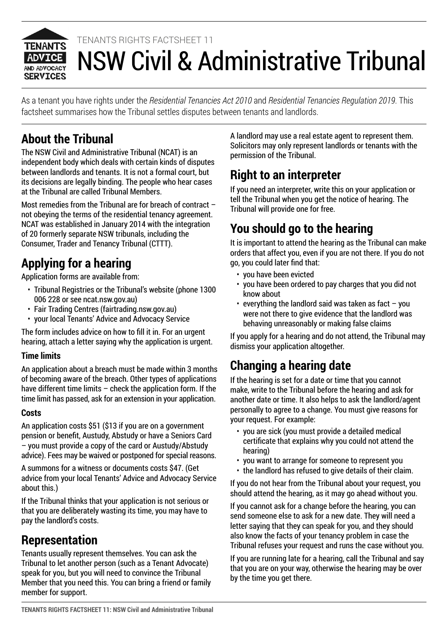

# NSW Civil & Administrative Tribunal TENANTS RIGHTS FACTSHEET 11

As a tenant you have rights under the *Residential Tenancies Act 2010* and *Residential Tenancies Regulation 2019*. This factsheet summarises how the Tribunal settles disputes between tenants and landlords.

#### **About the Tribunal**

The NSW Civil and Administrative Tribunal (NCAT) is an independent body which deals with certain kinds of disputes between landlords and tenants. It is not a formal court, but its decisions are legally binding. The people who hear cases at the Tribunal are called Tribunal Members.

Most remedies from the Tribunal are for breach of contract – not obeying the terms of the residential tenancy agreement. NCAT was established in January 2014 with the integration of 20 formerly separate NSW tribunals, including the Consumer, Trader and Tenancy Tribunal (CTTT).

## **Applying for a hearing**

Application forms are available from:

- Tribunal Registries or the Tribunal's website (phone 1300 006 228 or see ncat.nsw.gov.au)
- Fair Trading Centres (fairtrading.nsw.gov.au)
- your local Tenants' Advice and Advocacy Service

The form includes advice on how to fill it in. For an urgent hearing, attach a letter saying why the application is urgent.

#### **Time limits**

An application about a breach must be made within 3 months of becoming aware of the breach. Other types of applications have different time limits – check the application form. If the time limit has passed, ask for an extension in your application.

#### **Costs**

An application costs \$51 (\$13 if you are on a government pension or benefit, Austudy, Abstudy or have a Seniors Card – you must provide a copy of the card or Austudy/Abstudy advice). Fees may be waived or postponed for special reasons.

A summons for a witness or documents costs \$47. (Get advice from your local Tenants' Advice and Advocacy Service about this.)

If the Tribunal thinks that your application is not serious or that you are deliberately wasting its time, you may have to pay the landlord's costs.

#### **Representation**

Tenants usually represent themselves. You can ask the Tribunal to let another person (such as a Tenant Advocate) speak for you, but you will need to convince the Tribunal Member that you need this. You can bring a friend or family member for support.

A landlord may use a real estate agent to represent them. Solicitors may only represent landlords or tenants with the permission of the Tribunal.

## **Right to an interpreter**

If you need an interpreter, write this on your application or tell the Tribunal when you get the notice of hearing. The Tribunal will provide one for free.

# **You should go to the hearing**

It is important to attend the hearing as the Tribunal can make orders that affect you, even if you are not there. If you do not go, you could later find that:

- you have been evicted
- you have been ordered to pay charges that you did not know about
- $\cdot$  everything the landlord said was taken as fact  $-$  you were not there to give evidence that the landlord was behaving unreasonably or making false claims

If you apply for a hearing and do not attend, the Tribunal may dismiss your application altogether.

#### **Changing a hearing date**

If the hearing is set for a date or time that you cannot make, write to the Tribunal before the hearing and ask for another date or time. It also helps to ask the landlord/agent personally to agree to a change. You must give reasons for your request. For example:

- you are sick (you must provide a detailed medical certificate that explains why you could not attend the hearing)
- you want to arrange for someone to represent you
- the landlord has refused to give details of their claim.

If you do not hear from the Tribunal about your request, you should attend the hearing, as it may go ahead without you.

If you cannot ask for a change before the hearing, you can send someone else to ask for a new date. They will need a letter saying that they can speak for you, and they should also know the facts of your tenancy problem in case the Tribunal refuses your request and runs the case without you.

If you are running late for a hearing, call the Tribunal and say that you are on your way, otherwise the hearing may be over by the time you get there.